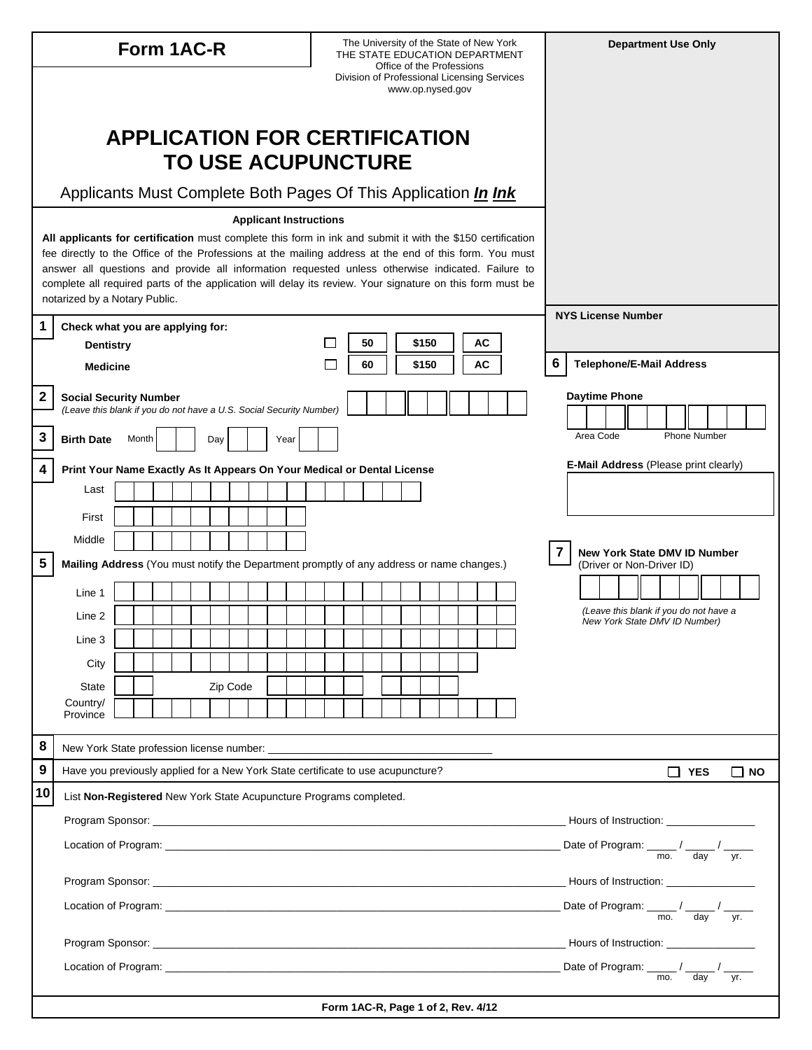| Form 1AC-R  |                                                                                                                                                                                                                      |  |       |  |  |  |     |          |  | The University of the State of New York<br>THE STATE EDUCATION DEPARTMENT |  |  |                                    |                                                                                       |  |       |       |  |  |    | <b>Department Use Only</b> |  |                                      |                                                                                                    |  |  |  |  |
|-------------|----------------------------------------------------------------------------------------------------------------------------------------------------------------------------------------------------------------------|--|-------|--|--|--|-----|----------|--|---------------------------------------------------------------------------|--|--|------------------------------------|---------------------------------------------------------------------------------------|--|-------|-------|--|--|----|----------------------------|--|--------------------------------------|----------------------------------------------------------------------------------------------------|--|--|--|--|
|             | Office of the Professions<br>Division of Professional Licensing Services<br>www.op.nysed.gov                                                                                                                         |  |       |  |  |  |     |          |  |                                                                           |  |  |                                    |                                                                                       |  |       |       |  |  |    |                            |  |                                      |                                                                                                    |  |  |  |  |
|             | <b>APPLICATION FOR CERTIFICATION</b>                                                                                                                                                                                 |  |       |  |  |  |     |          |  |                                                                           |  |  |                                    |                                                                                       |  |       |       |  |  |    |                            |  |                                      |                                                                                                    |  |  |  |  |
|             | <b>TO USE ACUPUNCTURE</b>                                                                                                                                                                                            |  |       |  |  |  |     |          |  |                                                                           |  |  |                                    |                                                                                       |  |       |       |  |  |    |                            |  |                                      |                                                                                                    |  |  |  |  |
|             | Applicants Must Complete Both Pages Of This Application <i>In Ink</i>                                                                                                                                                |  |       |  |  |  |     |          |  |                                                                           |  |  |                                    |                                                                                       |  |       |       |  |  |    |                            |  |                                      |                                                                                                    |  |  |  |  |
|             | <b>Applicant Instructions</b>                                                                                                                                                                                        |  |       |  |  |  |     |          |  |                                                                           |  |  |                                    |                                                                                       |  |       |       |  |  |    |                            |  |                                      |                                                                                                    |  |  |  |  |
|             | All applicants for certification must complete this form in ink and submit it with the \$150 certification<br>fee directly to the Office of the Professions at the mailing address at the end of this form. You must |  |       |  |  |  |     |          |  |                                                                           |  |  |                                    |                                                                                       |  |       |       |  |  |    |                            |  |                                      |                                                                                                    |  |  |  |  |
|             | answer all questions and provide all information requested unless otherwise indicated. Failure to<br>complete all required parts of the application will delay its review. Your signature on this form must be       |  |       |  |  |  |     |          |  |                                                                           |  |  |                                    |                                                                                       |  |       |       |  |  |    |                            |  |                                      |                                                                                                    |  |  |  |  |
| 1           | notarized by a Notary Public.                                                                                                                                                                                        |  |       |  |  |  |     |          |  |                                                                           |  |  |                                    |                                                                                       |  |       |       |  |  |    |                            |  |                                      | <b>NYS License Number</b>                                                                          |  |  |  |  |
|             | Check what you are applying for:<br><b>Dentistry</b>                                                                                                                                                                 |  |       |  |  |  |     |          |  |                                                                           |  |  |                                    | 50                                                                                    |  | \$150 |       |  |  | AC |                            |  |                                      |                                                                                                    |  |  |  |  |
|             | <b>Medicine</b>                                                                                                                                                                                                      |  |       |  |  |  |     |          |  |                                                                           |  |  |                                    | 60                                                                                    |  |       | \$150 |  |  | АC |                            |  | 6<br><b>Telephone/E-Mail Address</b> |                                                                                                    |  |  |  |  |
| 2           | <b>Social Security Number</b><br>(Leave this blank if you do not have a U.S. Social Security Number)                                                                                                                 |  |       |  |  |  |     |          |  |                                                                           |  |  |                                    |                                                                                       |  |       |       |  |  |    |                            |  | <b>Daytime Phone</b>                 |                                                                                                    |  |  |  |  |
| $\mathbf 3$ | <b>Birth Date</b>                                                                                                                                                                                                    |  | Month |  |  |  | Day |          |  | Year                                                                      |  |  |                                    |                                                                                       |  |       |       |  |  |    |                            |  |                                      | Area Code<br><b>Phone Number</b>                                                                   |  |  |  |  |
| 4           | E-Mail Address (Please print clearly)<br>Print Your Name Exactly As It Appears On Your Medical or Dental License                                                                                                     |  |       |  |  |  |     |          |  |                                                                           |  |  |                                    |                                                                                       |  |       |       |  |  |    |                            |  |                                      |                                                                                                    |  |  |  |  |
|             | Last                                                                                                                                                                                                                 |  |       |  |  |  |     |          |  |                                                                           |  |  |                                    |                                                                                       |  |       |       |  |  |    |                            |  |                                      |                                                                                                    |  |  |  |  |
|             | First                                                                                                                                                                                                                |  |       |  |  |  |     |          |  |                                                                           |  |  |                                    |                                                                                       |  |       |       |  |  |    |                            |  |                                      |                                                                                                    |  |  |  |  |
|             | Middle                                                                                                                                                                                                               |  |       |  |  |  |     |          |  |                                                                           |  |  |                                    |                                                                                       |  |       |       |  |  |    |                            |  |                                      | $\overline{\mathbf{r}}$<br><b>New York State DMV ID Number</b>                                     |  |  |  |  |
| 5           | Mailing Address (You must notify the Department promptly of any address or name changes.)                                                                                                                            |  |       |  |  |  |     |          |  |                                                                           |  |  |                                    |                                                                                       |  |       |       |  |  |    |                            |  |                                      | (Driver or Non-Driver ID)                                                                          |  |  |  |  |
|             | Line 1                                                                                                                                                                                                               |  |       |  |  |  |     |          |  |                                                                           |  |  |                                    |                                                                                       |  |       |       |  |  |    |                            |  |                                      | (Leave this blank if you do not have a                                                             |  |  |  |  |
|             | Line 2<br>Line 3                                                                                                                                                                                                     |  |       |  |  |  |     |          |  |                                                                           |  |  |                                    |                                                                                       |  |       |       |  |  |    |                            |  |                                      | New York State DMV ID Number)                                                                      |  |  |  |  |
|             | City                                                                                                                                                                                                                 |  |       |  |  |  |     |          |  |                                                                           |  |  |                                    |                                                                                       |  |       |       |  |  |    |                            |  |                                      |                                                                                                    |  |  |  |  |
|             | <b>State</b>                                                                                                                                                                                                         |  |       |  |  |  |     | Zip Code |  |                                                                           |  |  |                                    |                                                                                       |  |       |       |  |  |    |                            |  |                                      |                                                                                                    |  |  |  |  |
|             | Country/<br>Province                                                                                                                                                                                                 |  |       |  |  |  |     |          |  |                                                                           |  |  |                                    |                                                                                       |  |       |       |  |  |    |                            |  |                                      |                                                                                                    |  |  |  |  |
| 8           |                                                                                                                                                                                                                      |  |       |  |  |  |     |          |  |                                                                           |  |  |                                    |                                                                                       |  |       |       |  |  |    |                            |  |                                      |                                                                                                    |  |  |  |  |
| 9           | Have you previously applied for a New York State certificate to use acupuncture?                                                                                                                                     |  |       |  |  |  |     |          |  |                                                                           |  |  |                                    |                                                                                       |  |       |       |  |  |    |                            |  |                                      | $\Box$ YES<br>∐ NO                                                                                 |  |  |  |  |
| 10          | List Non-Registered New York State Acupuncture Programs completed.                                                                                                                                                   |  |       |  |  |  |     |          |  |                                                                           |  |  |                                    |                                                                                       |  |       |       |  |  |    |                            |  |                                      |                                                                                                    |  |  |  |  |
|             |                                                                                                                                                                                                                      |  |       |  |  |  |     |          |  |                                                                           |  |  |                                    |                                                                                       |  |       |       |  |  |    |                            |  |                                      |                                                                                                    |  |  |  |  |
|             |                                                                                                                                                                                                                      |  |       |  |  |  |     |          |  |                                                                           |  |  |                                    |                                                                                       |  |       |       |  |  |    |                            |  |                                      | Date of Program: $\frac{1}{\sqrt{1-\frac{1}{\sqrt{1}}}}$ / $\frac{1}{\sqrt{1-\frac{1}{\sqrt{1}}}}$ |  |  |  |  |
|             |                                                                                                                                                                                                                      |  |       |  |  |  |     |          |  |                                                                           |  |  |                                    |                                                                                       |  |       |       |  |  |    |                            |  |                                      |                                                                                                    |  |  |  |  |
|             |                                                                                                                                                                                                                      |  |       |  |  |  |     |          |  |                                                                           |  |  |                                    | Date of Program: $\frac{1}{\text{mo.}} / \frac{1}{\text{day}} / \frac{1}{\text{yr.}}$ |  |       |       |  |  |    |                            |  |                                      |                                                                                                    |  |  |  |  |
|             |                                                                                                                                                                                                                      |  |       |  |  |  |     |          |  |                                                                           |  |  |                                    |                                                                                       |  |       |       |  |  |    |                            |  |                                      |                                                                                                    |  |  |  |  |
|             |                                                                                                                                                                                                                      |  |       |  |  |  |     |          |  |                                                                           |  |  |                                    |                                                                                       |  |       |       |  |  |    |                            |  |                                      |                                                                                                    |  |  |  |  |
|             |                                                                                                                                                                                                                      |  |       |  |  |  |     |          |  |                                                                           |  |  | Form 1AC-R, Page 1 of 2, Rev. 4/12 |                                                                                       |  |       |       |  |  |    |                            |  |                                      |                                                                                                    |  |  |  |  |